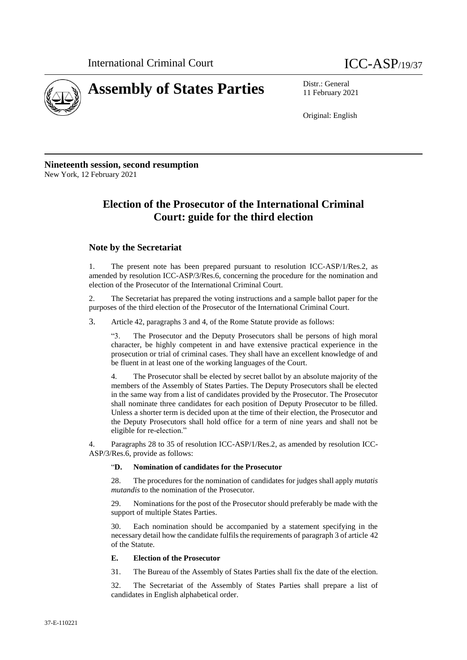

11 February 2021

Original: English

**Nineteenth session, second resumption** New York, 12 February 2021

# **Election of the Prosecutor of the International Criminal Court: guide for the third election**

### **Note by the Secretariat**

1. The present note has been prepared pursuant to resolution ICC-ASP/1/Res.2, as amended by resolution ICC-ASP/3/Res.6, concerning the procedure for the nomination and election of the Prosecutor of the International Criminal Court.

2. The Secretariat has prepared the voting instructions and a sample ballot paper for the purposes of the third election of the Prosecutor of the International Criminal Court.

3. Article 42, paragraphs 3 and 4, of the Rome Statute provide as follows:

"3. The Prosecutor and the Deputy Prosecutors shall be persons of high moral character, be highly competent in and have extensive practical experience in the prosecution or trial of criminal cases. They shall have an excellent knowledge of and be fluent in at least one of the working languages of the Court.

4. The Prosecutor shall be elected by secret ballot by an absolute majority of the members of the Assembly of States Parties. The Deputy Prosecutors shall be elected in the same way from a list of candidates provided by the Prosecutor. The Prosecutor shall nominate three candidates for each position of Deputy Prosecutor to be filled. Unless a shorter term is decided upon at the time of their election, the Prosecutor and the Deputy Prosecutors shall hold office for a term of nine years and shall not be eligible for re-election."

4. Paragraphs 28 to 35 of resolution ICC-ASP/1/Res.2, as amended by resolution ICC-ASP/3/Res.6, provide as follows:

#### "**D. Nomination of candidates for the Prosecutor**

28. The procedures for the nomination of candidates for judges shall apply *mutatis mutandis* to the nomination of the Prosecutor.

29. Nominations for the post of the Prosecutor should preferably be made with the support of multiple States Parties.

Each nomination should be accompanied by a statement specifying in the necessary detail how the candidate fulfils the requirements of paragraph 3 of article 42 of the Statute.

#### **E. Election of the Prosecutor**

31. The Bureau of the Assembly of States Parties shall fix the date of the election.

32. The Secretariat of the Assembly of States Parties shall prepare a list of candidates in English alphabetical order.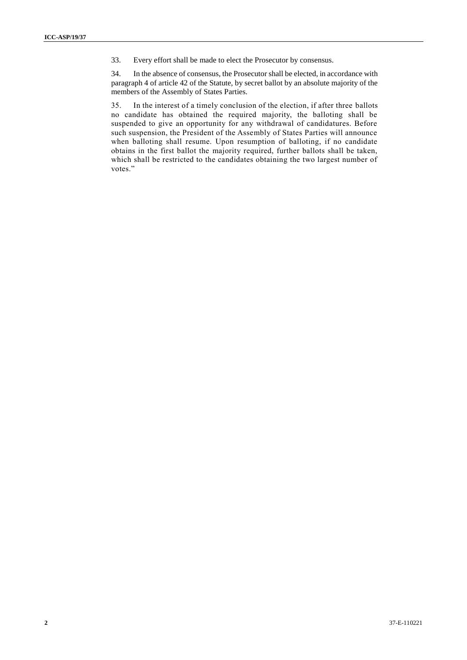33. Every effort shall be made to elect the Prosecutor by consensus.

34. In the absence of consensus, the Prosecutor shall be elected, in accordance with paragraph 4 of article 42 of the Statute, by secret ballot by an absolute majority of the members of the Assembly of States Parties.

35. In the interest of a timely conclusion of the election, if after three ballots no candidate has obtained the required majority, the balloting shall be suspended to give an opportunity for any withdrawal of candidatures. Before such suspension, the President of the Assembly of States Parties will announce when balloting shall resume. Upon resumption of balloting, if no candidate obtains in the first ballot the majority required, further ballots shall be taken, which shall be restricted to the candidates obtaining the two largest number of votes."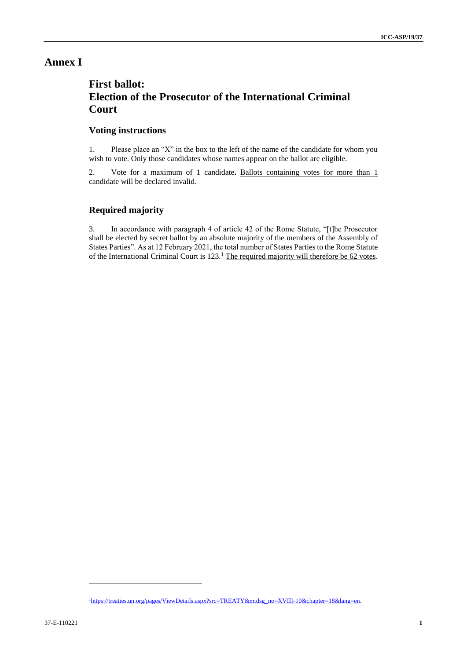## **Annex I**

# **First ballot: Election of the Prosecutor of the International Criminal Court**

### **Voting instructions**

1. Please place an "X" in the box to the left of the name of the candidate for whom you wish to vote. Only those candidates whose names appear on the ballot are eligible.

2. Vote for a maximum of 1 candidate**.** Ballots containing votes for more than 1 candidate will be declared invalid.

### **Required majority**

3. In accordance with paragraph 4 of article 42 of the Rome Statute, "[t]he Prosecutor shall be elected by secret ballot by an absolute majority of the members of the Assembly of States Parties". As at 12 February 2021, the total number of States Parties to the Rome Statute of the International Criminal Court is 123.<sup>1</sup> The required majority will therefore be 62 votes.

l

<sup>&</sup>lt;sup>1</sup>[https://treaties.un.org/pages/ViewDetails.aspx?src=TREATY&mtdsg\\_no=XVIII-10&chapter=18&lang=en.](https://treaties.un.org/pages/ViewDetails.aspx?src=TREATY&mtdsg_no=XVIII-10&chapter=18&lang=en)